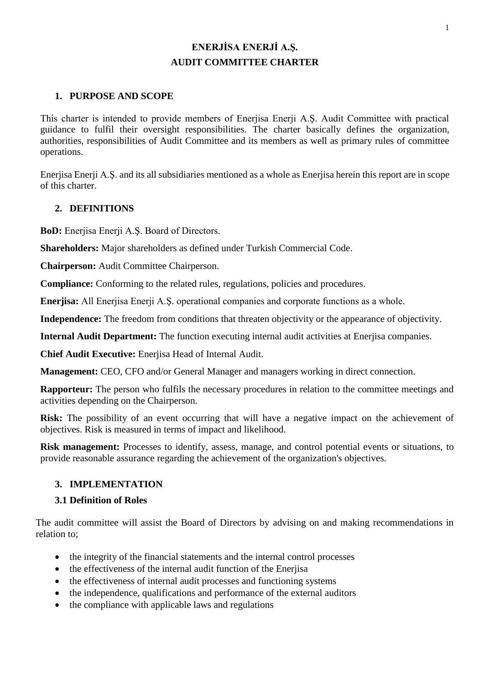# **ENERJİSA ENERJİ A.Ş. AUDIT COMMITTEE CHARTER**

## **1. PURPOSE AND SCOPE**

This charter is intended to provide members of Enerjisa Enerji A.Ş. Audit Committee with practical guidance to fulfil their oversight responsibilities. The charter basically defines the organization, authorities, responsibilities of Audit Committee and its members as well as primary rules of committee operations.

Enerjisa Enerji A.Ş. and its all subsidiaries mentioned as a whole as Enerjisa herein this report are in scope of this charter.

#### **2. DEFINITIONS**

**BoD:** Enerjisa Enerji A.Ş. Board of Directors.

**Shareholders:** Major shareholders as defined under Turkish Commercial Code.

**Chairperson:** Audit Committee Chairperson.

**Compliance:** Conforming to the related rules, regulations, policies and procedures.

**Enerjisa:** All Enerjisa Enerji A.Ş. operational companies and corporate functions as a whole.

**Independence:** The freedom from conditions that threaten objectivity or the appearance of objectivity.

**Internal Audit Department:** The function executing internal audit activities at Enerjisa companies.

**Chief Audit Executive:** Enerjisa Head of Internal Audit.

**Management:** CEO, CFO and/or General Manager and managers working in direct connection.

**Rapporteur:** The person who fulfils the necessary procedures in relation to the committee meetings and activities depending on the Chairperson.

**Risk:** The possibility of an event occurring that will have a negative impact on the achievement of objectives. Risk is measured in terms of impact and likelihood.

**Risk management:** Processes to identify, assess, manage, and control potential events or situations, to provide reasonable assurance regarding the achievement of the organization's objectives.

### **3. IMPLEMENTATION**

#### **3.1 Definition of Roles**

The audit committee will assist the Board of Directors by advising on and making recommendations in relation to;

- the integrity of the financial statements and the internal control processes
- the effectiveness of the internal audit function of the Enerjisa
- the effectiveness of internal audit processes and functioning systems
- the independence, qualifications and performance of the external auditors
- the compliance with applicable laws and regulations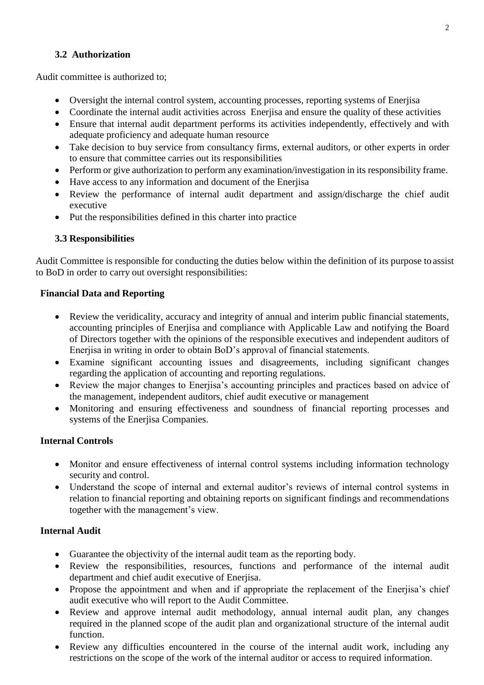### **3.2 Authorization**

Audit committee is authorized to;

- Oversight the internal control system, accounting processes, reporting systems of Enerjisa
- Coordinate the internal audit activities across Enerjisa and ensure the quality of these activities
- Ensure that internal audit department performs its activities independently, effectively and with adequate proficiency and adequate human resource
- Take decision to buy service from consultancy firms, external auditors, or other experts in order to ensure that committee carries out its responsibilities
- Perform or give authorization to perform any examination/investigation in its responsibility frame.
- Have access to any information and document of the Enerjisa
- Review the performance of internal audit department and assign/discharge the chief audit executive
- Put the responsibilities defined in this charter into practice

### **3.3 Responsibilities**

Audit Committee is responsible for conducting the duties below within the definition of its purpose to assist to BoD in order to carry out oversight responsibilities:

### **Financial Data and Reporting**

- Review the veridicality, accuracy and integrity of annual and interim public financial statements, accounting principles of Enerjisa and compliance with Applicable Law and notifying the Board of Directors together with the opinions of the responsible executives and independent auditors of Enerjisa in writing in order to obtain BoD's approval of financial statements.
- Examine significant accounting issues and disagreements, including significant changes regarding the application of accounting and reporting regulations.
- Review the major changes to Enerjisa's accounting principles and practices based on advice of the management, independent auditors, chief audit executive or management
- Monitoring and ensuring effectiveness and soundness of financial reporting processes and systems of the Enerjisa Companies.

### **Internal Controls**

- Monitor and ensure effectiveness of internal control systems including information technology security and control.
- Understand the scope of internal and external auditor's reviews of internal control systems in relation to financial reporting and obtaining reports on significant findings and recommendations together with the management's view.

### **Internal Audit**

- Guarantee the objectivity of the internal audit team as the reporting body.
- Review the responsibilities, resources, functions and performance of the internal audit department and chief audit executive of Enerjisa.
- Propose the appointment and when and if appropriate the replacement of the Enerjisa's chief audit executive who will report to the Audit Committee.
- Review and approve internal audit methodology, annual internal audit plan, any changes required in the planned scope of the audit plan and organizational structure of the internal audit function.
- Review any difficulties encountered in the course of the internal audit work, including any restrictions on the scope of the work of the internal auditor or access to required information.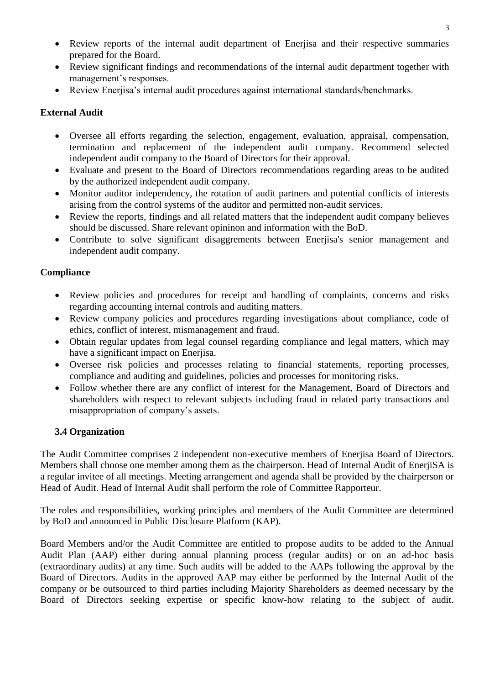- Review reports of the internal audit department of Enerjisa and their respective summaries prepared for the Board.
- Review significant findings and recommendations of the internal audit department together with management's responses.
- Review Enerjisa's internal audit procedures against international standards/benchmarks.

### **External Audit**

- Oversee all efforts regarding the selection, engagement, evaluation, appraisal, compensation, termination and replacement of the independent audit company. Recommend selected independent audit company to the Board of Directors for their approval.
- Evaluate and present to the Board of Directors recommendations regarding areas to be audited by the authorized independent audit company.
- Monitor auditor independency, the rotation of audit partners and potential conflicts of interests arising from the control systems of the auditor and permitted non-audit services.
- Review the reports, findings and all related matters that the independent audit company believes should be discussed. Share relevant opininon and information with the BoD.
- Contribute to solve significant disaggrements between Enerjisa's senior management and independent audit company.

### **Compliance**

- Review policies and procedures for receipt and handling of complaints, concerns and risks regarding accounting internal controls and auditing matters.
- Review company policies and procedures regarding investigations about compliance, code of ethics, conflict of interest, mismanagement and fraud.
- Obtain regular updates from legal counsel regarding compliance and legal matters, which may have a significant impact on Enerjisa.
- Oversee risk policies and processes relating to financial statements, reporting processes, compliance and auditing and guidelines, policies and processes for monitoring risks.
- Follow whether there are any conflict of interest for the Management, Board of Directors and shareholders with respect to relevant subjects including fraud in related party transactions and misappropriation of company's assets.

### **3.4 Organization**

The Audit Committee comprises 2 independent non-executive members of Enerjisa Board of Directors. Members shall choose one member among them as the chairperson. Head of Internal Audit of EnerjiSA is a regular invitee of all meetings. Meeting arrangement and agenda shall be provided by the chairperson or Head of Audit. Head of Internal Audit shall perform the role of Committee Rapporteur.

The roles and responsibilities, working principles and members of the Audit Committee are determined by BoD and announced in Public Disclosure Platform (KAP).

Board Members and/or the Audit Committee are entitled to propose audits to be added to the Annual Audit Plan (AAP) either during annual planning process (regular audits) or on an ad-hoc basis (extraordinary audits) at any time. Such audits will be added to the AAPs following the approval by the Board of Directors. Audits in the approved AAP may either be performed by the Internal Audit of the company or be outsourced to third parties including Majority Shareholders as deemed necessary by the Board of Directors seeking expertise or specific know-how relating to the subject of audit.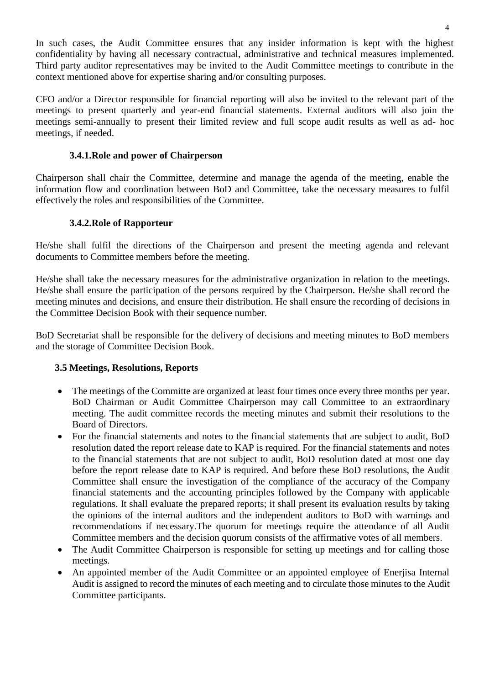In such cases, the Audit Committee ensures that any insider information is kept with the highest confidentiality by having all necessary contractual, administrative and technical measures implemented. Third party auditor representatives may be invited to the Audit Committee meetings to contribute in the context mentioned above for expertise sharing and/or consulting purposes.

CFO and/or a Director responsible for financial reporting will also be invited to the relevant part of the meetings to present quarterly and year-end financial statements. External auditors will also join the meetings semi-annually to present their limited review and full scope audit results as well as ad- hoc meetings, if needed.

### **3.4.1.Role and power of Chairperson**

Chairperson shall chair the Committee, determine and manage the agenda of the meeting, enable the information flow and coordination between BoD and Committee, take the necessary measures to fulfil effectively the roles and responsibilities of the Committee.

#### **3.4.2.Role of Rapporteur**

He/she shall fulfil the directions of the Chairperson and present the meeting agenda and relevant documents to Committee members before the meeting.

He/she shall take the necessary measures for the administrative organization in relation to the meetings. He/she shall ensure the participation of the persons required by the Chairperson. He/she shall record the meeting minutes and decisions, and ensure their distribution. He shall ensure the recording of decisions in the Committee Decision Book with their sequence number.

BoD Secretariat shall be responsible for the delivery of decisions and meeting minutes to BoD members and the storage of Committee Decision Book.

### **3.5 Meetings, Resolutions, Reports**

- The meetings of the Committe are organized at least four times once every three months per year. BoD Chairman or Audit Committee Chairperson may call Committee to an extraordinary meeting. The audit committee records the meeting minutes and submit their resolutions to the Board of Directors.
- For the financial statements and notes to the financial statements that are subject to audit, BoD resolution dated the report release date to KAP is required. For the financial statements and notes to the financial statements that are not subject to audit, BoD resolution dated at most one day before the report release date to KAP is required. And before these BoD resolutions, the Audit Committee shall ensure the investigation of the compliance of the accuracy of the Company financial statements and the accounting principles followed by the Company with applicable regulations. It shall evaluate the prepared reports; it shall present its evaluation results by taking the opinions of the internal auditors and the independent auditors to BoD with warnings and recommendations if necessary.The quorum for meetings require the attendance of all Audit Committee members and the decision quorum consists of the affirmative votes of all members.
- The Audit Committee Chairperson is responsible for setting up meetings and for calling those meetings.
- An appointed member of the Audit Committee or an appointed employee of Enerjisa Internal Audit is assigned to record the minutes of each meeting and to circulate those minutes to the Audit Committee participants.